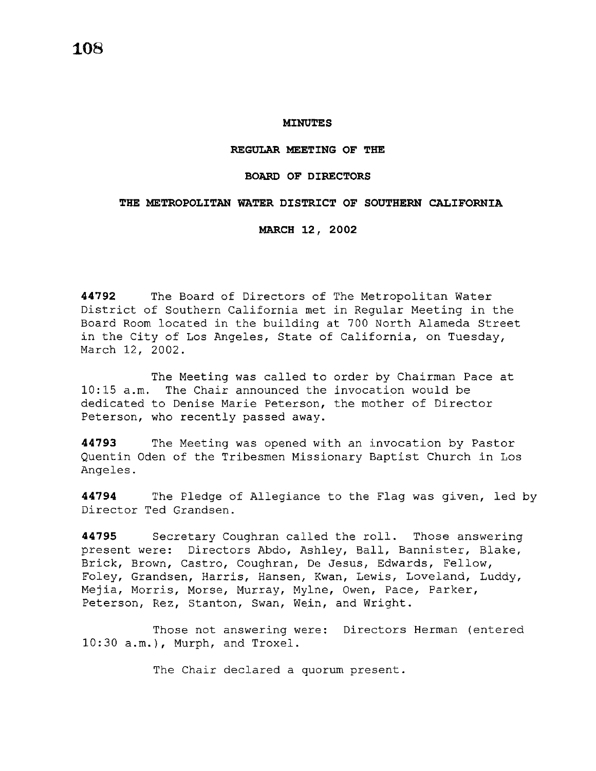#### **MINUTES**

# **REGULAR MEETING OF THE**

# **BOARD OF DIRECTORS**

### **THE METROPOLITAN WATER DISTRICT OF SOUTHERN CALIFORNIA**

#### **MARCH 12, 2002**

**44792** The Board of Directors of The Metropolitan Water District of Southern California met in Regular Meeting in the Board Room located in the building at 700 North Alameda Street in the City of Los Angeles, State of California, on Tuesday, March 12, 2002.

The Meeting was called to order by Chairman Pace at 10:15 a.m. The Chair announced the invocation would be dedicated to Denise Marie Peterson, the mother of Director Peterson, who recently passed away.

**44793** The Meeting was opened with an invocation by Pastor Quentin Oden of the Tribesmen Missionary Baptist Church in Los Angeles.

**44794** The Pledge of Allegiance to the Flag was given, led by Director Ted Grandsen.

**44795** Secretary Coughran called the roll. Those answering present were: Directors Abdo, Ashley, Ball, Bannister, Blake, Brick, Brown, Castro, Coughran, De Jesus, Edwards, Fellow, Foley, Grandsen, Harris, Hansen, Kwan, Lewis, Loveland, Luddy, Mejia, Morris, Morse, Murray, Mylne, Owen, Pace, Parker, Peterson, Rez, Stanton, Swan, Wein, and Wright.

Those not answering were: Directors Herman (entered 10:30 a.m.), Murph, and Troxel.

The Chair declared a quorum present.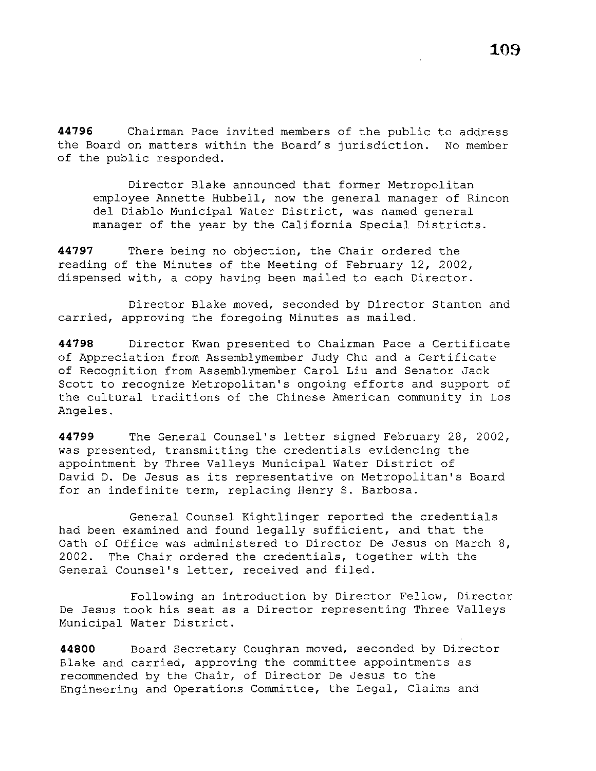**44796** Chairman Pace invited members of the public to address the Board on matters within the Board's jurisdiction. No member of the public responded.

Director Blake announced that former Metropolitan employee Annette Hubbell, now the general manager of Rincon del Diablo Municipal Water District, was named general manager of the year by the California Special Districts.

**44797** There being no objection, the Chair ordered the reading of the Minutes of the Meeting of February 12, 2002, dispensed with, a copy having been mailed to each Director.

Director Blake moved, seconded by Director Stanton and carried, approving the foregoing Minutes as mailed.

**44798** Director Kwan presented to Chairman Pace a Certificate of Appreciation from Assemblymember Judy Chu and a Certificate of Recognition from Assemblymember Carol Liu and Senator Jack Scott to recognize Metropolitan's ongoing efforts and support of the cultural traditions of the Chinese American community in Los Angeles.

**44799** The General Counsel's letter signed February 28, 2002, was presented, transmitting the credentials evidencing the appointment by Three Valleys Municipal Water District of David D. De Jesus as its representative on Metropolitan's Board for an indefinite term, replacing Henry S. Barbosa.

General Counsel Kightlinger reported the credentials had been examined and found legally sufficient, and that the Oath of Office was administered to Director De Jesus on March 8, 2002. The Chair ordered the credentials, together with the General Counsel's letter, received and filed.

Following an introduction by Director Fellow, Director De Jesus took his seat as a Director representing Three Valleys Municipal Water District.

**44800** Board Secretary Coughran moved, seconded by Director Blake and carried, approving the committee appointments as recommended by the Chair, of Director De Jesus to the Engineering and Operations Committee, the Legal, Claims and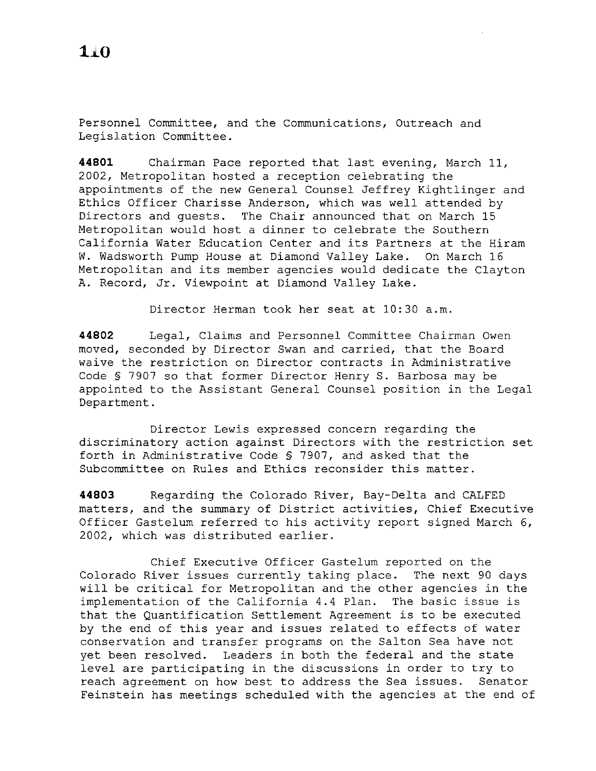Personnel Committee, and the Communications, Outreach and Legislation Committee.

**44801** Chairman Pace reported that last evening, March 11, 2002, Metropolitan hosted a reception celebrating the appointments of the new General Counsel Jeffrey Kightlinger and Ethics Officer Charisse Anderson, which was well attended by Directors and guests. The Chair announced that on March 15 Metropolitan would host a dinner to celebrate the Southern California Water Education Center and its Partners at the Hiram W. Wadsworth Pump House at Diamond Valley Lake. On March 16 Metropolitan and its member agencies would dedicate the Clayton A. Record, Jr. Viewpoint at Diamond Valley Lake.

Director Herman took her seat at 10:30 a.m.

**44802** Legal, Claims and Personnel Committee Chairman Owen moved, seconded by Director Swan and carried, that the Board waive the restriction on Director contracts in Administrative Code § 7907 so that former Director Henry S. Barbosa may be appointed to the Assistant General Counsel position in the Legal Department.

Director Lewis expressed concern regarding the discriminatory action against Directors with the restriction set forth in Administrative Code § 7907, and asked that the Subcommittee on Rules and Ethics reconsider this matter.

**44803** Regarding the Colorado River, Bay-Delta and CALFED matters, and the summary of District activities, Chief Executive Officer Gastelum referred to his activity report signed March 6, 2002, which was distributed earlier.

Chief Executive Officer Gastelum reported on the Colorado River issues currently taking place. The next 90 days will be critical for Metropolitan and the other agencies in the implementation of the California 4.4 Plan. The basic issue is that the Quantification Settlement Agreement is to be executed by the end of this year and issues related to effects of water conservation and transfer programs on the Salton Sea have not yet been resolved. Leaders in both the federal and the state level are participating in the discussions in order to try to reach agreement on how best to address the Sea issues. Senator Feinstein has meetings scheduled with the agencies at the end of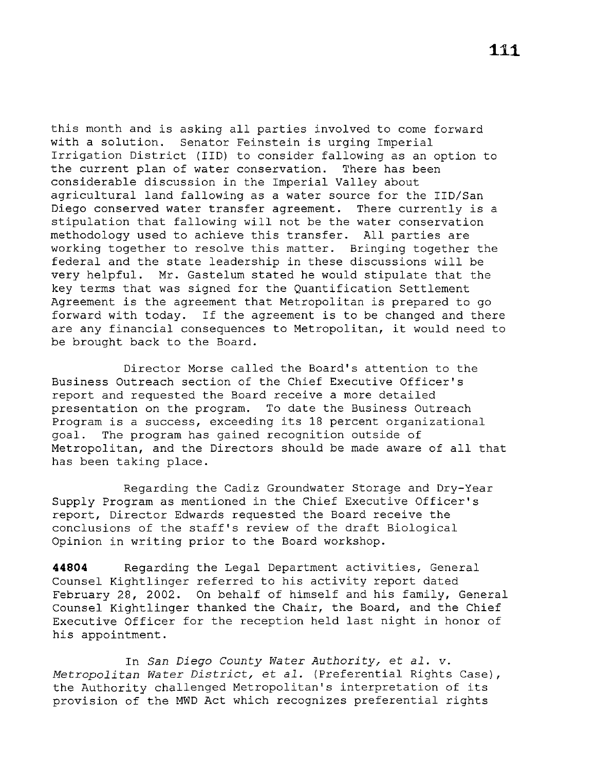this month and is asking all parties involved to come forward with a solution. Senator Feinstein is urging Imperial Irrigation District (IID) to consider fallowing as an option to the current plan of water conservation. There has been considerable discussion in the Imperial Valley about agricultural land fallowing as a water source for the IID/San Diego conserved water transfer agreement. There currently is a stipulation that fallowing will not be the water conservation methodology used to achieve this transfer. All parties are working together to resolve this matter. Bringing together the federal and the state leadership in these discussions will be very helpful. Mr. Gastelum stated he would stipulate that the key terms that was signed for the Quantification Settlement Agreement is the agreement that Metropolitan is prepared to go forward with today. If the agreement is to be changed and there are any financial consequences to Metropolitan, it would need to be brought back to the Board.

Director Morse called the Board's attention to the Business Outreach section of the Chief Executive Officer's report and requested the Board receive a more detailed presentation on the program. To date the Business Outreach Program is a success, exceeding its 18 percent organizational goal. The program has gained recognition outside of Metropolitan, and the Directors should be made aware of all that has been taking place.

Regarding the Cadiz Groundwater Storage and Dry-Year Supply Program as mentioned in the Chief Executive Officer's report, Director Edwards requested the Board receive the conclusions of the staff's review of the draft Biological Opinion in writing prior to the Board workshop.

**44804** Regarding the Legal Department activities, General Counsel Kightlinger referred to his activity report dated February 28, 2002. On behalf of himself and his family, General Counsel Kightlinger thanked the Chair, the Board, and the Chief Executive Officer for the reception held last night in honor of his appointment.

In *San Diego County Water Authority,* et *al.* v. *Metropolitan Water District,* et *al.* (Preferential Rights Case), the Authority challenged Metropolitan's interpretation of its provision of the MWD Act which recognizes preferential rights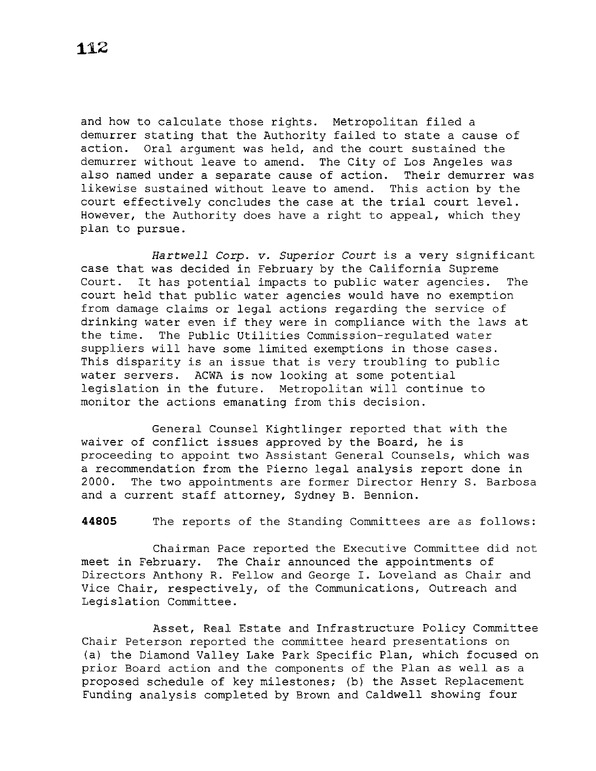and how to calculate those rights. Metropolitan filed a demurrer stating that the Authority failed to state a cause of action. Oral argument was held, and the court sustained the demurrer without leave to amend. The City of Los Angeles was also named under a separate cause of action. Their demurrer was likewise sustained without leave to amend. This action by the court effectively concludes the case at the trial court level. However, the Authority does have a right to appeal, which they plan to pursue.

*Hartwell Corp.* v. *Superior Court* is a very significant case that was decided in February by the California Supreme Court. It has potential impacts to public water agencies. The court held that public water agencies would have no exemption from damage claims or legal actions regarding the service of drinking water even if they were in compliance with the laws at the time. The Public Utilities Commission-regulated water suppliers will have some limited exemptions in those cases. This disparity is an issue that is very troubling to public water servers. ACWA is now looking at some potential legislation in the future. Metropolitan will continue to monitor the actions emanating from this decision.

General Counsel Kightlinger reported that with the waiver of conflict issues approved by the Board, he is proceeding to appoint two Assistant General Counsels, which was a recommendation from the Pierno legal analysis report done in 2000. The two appointments are former Director Henry S. Barbosa and a current staff attorney, Sydney B. Bennion.

**44805** The reports of the Standing Committees are as follows:

Chairman Pace reported the Executive Committee did not meet in February. The Chair announced the appointments of Directors Anthony R. Fellow and George I. Loveland as Chair and Vice Chair, respectively, of the Communications, Outreach and Legislation Committee.

Asset, Real Estate and Infrastructure Policy Committee Chair Peterson reported the committee heard presentations on (a) the Diamond Valley Lake Park Specific Plan, which focused on prior Board action and the components of the Plan as well as a proposed schedule of key milestones; (b) the Asset Replacement Funding analysis completed by Brown and Caldwell showing four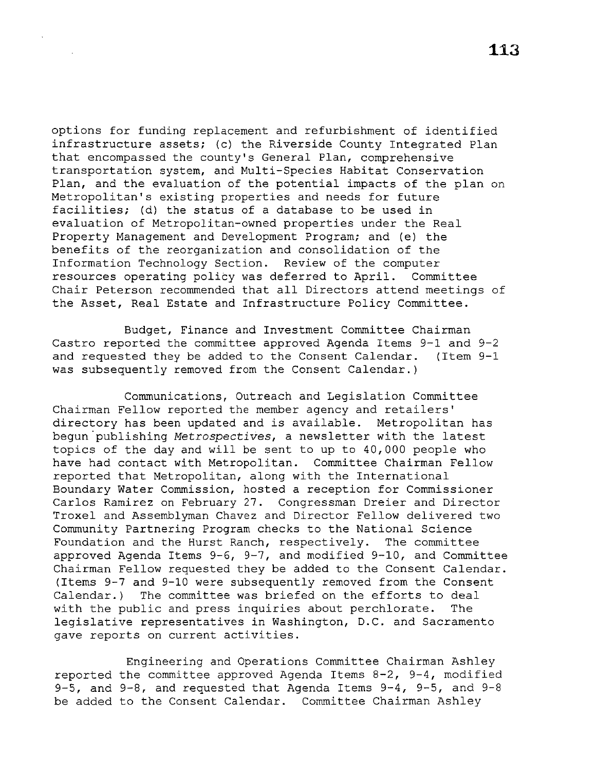options for funding replacement and refurbishment of identified infrastructure assets; (c) the Riverside County Integrated Plan that encompassed the county's General Plan, comprehensive transportation system, and Multi-Species Habitat Conservation Plan, and the evaluation of the potential impacts of the plan on Metropolitan's existing properties and needs for future facilities; (d) the status of a database to be used in evaluation of Metropolitan-owned properties under the Real Property Management and Development Program; and (e) the benefits of the reorganization and consolidation of the Information Technology Section. Review of the computer resources operating policy was deferred to April. Committee Chair Peterson recommended that all Directors attend meetings of the Asset, Real Estate and Infrastructure Policy Committee.

Budget, Finance and Investment Committee Chairman Castro reported the committee approved Agenda Items 9-l and 9-2 and requested they be added to the Consent Calendar. (Item 9-l was subsequently removed from the Consent Calendar.)

Communications, Outreach and Legislation Committee Chairman Fellow reported the member agency and retailers' directory has been updated and is available. Metropolitan has begun publishing *Metrospectives*, a newsletter with the latest topics of the day and will be sent to up to 40,000 people who have had contact with Metropolitan. Committee Chairman Fellow reported that Metropolitan, along with the International Boundary Water Commission, hosted a reception for Commissioner Carlos Ramirez on February 27. Congressman Dreier and Director Troxel and Assemblyman Chavez and Director Fellow delivered two Community Partnering Program checks to the National Science Foundation and the Hurst Ranch, respectively. The committee approved Agenda Items 9-6, 9-7, and modified 9-10, and Committee Chairman Fellow requested they be added to the Consent Calendar. (Items 9-7 and 9-10 were subsequently removed from the Consent Calendar.) The committee was briefed on the efforts to deal with the public and press inquiries about perchlorate. The legislative representatives in Washington, D.C. and Sacramento gave reports on current activities.

Engineering and Operations Committee Chairman Ashley reported the committee approved Agenda Items 8-2, 9-4, modified 9-5, and 9-8, and requested that Agenda Items 9-4, 9-5, and 9-8 be added to the Consent Calendar. Committee Chairman Ashley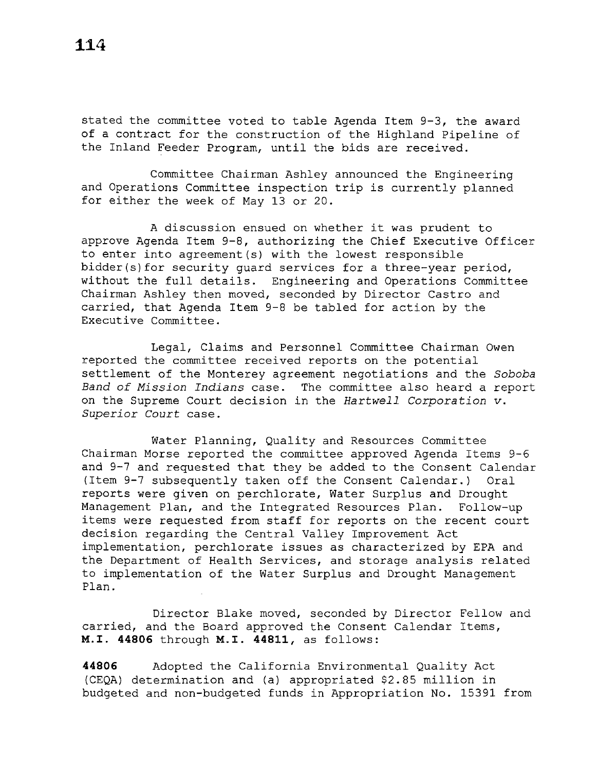stated the committee voted to table Agenda Item 9-3, the award of a contract for the construction of the Highland Pipeline of the Inland Feeder Program, until the bids are received.

Committee Chairman Ashley announced the Engineering and Operations Committee inspection trip is currently planned for either the week of May 13 or 20.

A discussion ensued on whether it was prudent to approve Agenda Item 9-8, authorizing the Chief Executive Officer to enter into agreement(s) with the lowest responsible bidder(s) for security guard services for a three-year period, without the full details. Engineering and Operations Committee Chairman Ashley then moved, seconded by Director Castro and carried, that Agenda Item 9-8 be tabled for action by the Executive Committee.

Legal, Claims and Personnel Committee Chairman Owen reported the committee received reports on the potential settlement of the Monterey agreement negotiations and the *Soboba Band of Mission Indians* case. The committee also heard a report on the Supreme Court decision in the *Hartwell Corporation v. Superior Court* case.

Water Planning, Quality and Resources Committee Chairman Morse reported the committee approved Agenda Items 9-6 and  $9-7$  and requested that they be added to the Consent Calendar (Item 9-7 subsequently taken off the Consent Calendar.) Oral reports were given on perchlorate, Water Surplus and Drought Management Plan, and the Integrated Resources Plan. Follow-up items were requested from staff for reports on the recent court decision regarding the Central Valley Improvement Act implementation, perchlorate issues as characterized by EPA and the Department of Health Services, and storage analysis related to implementation of the Water Surplus and Drought Management Plan.

Director Blake moved, seconded by Director Fellow and carried, and the Board approved the Consent Calendar Items, M.I. **44806** through M.I. **44811,** as follows:

**44806** Adopted the California Environmental Quality Act (CEQA) determination and (a) appropriated \$2.85 million in budgeted and non-budgeted funds in Appropriation No. 15391 from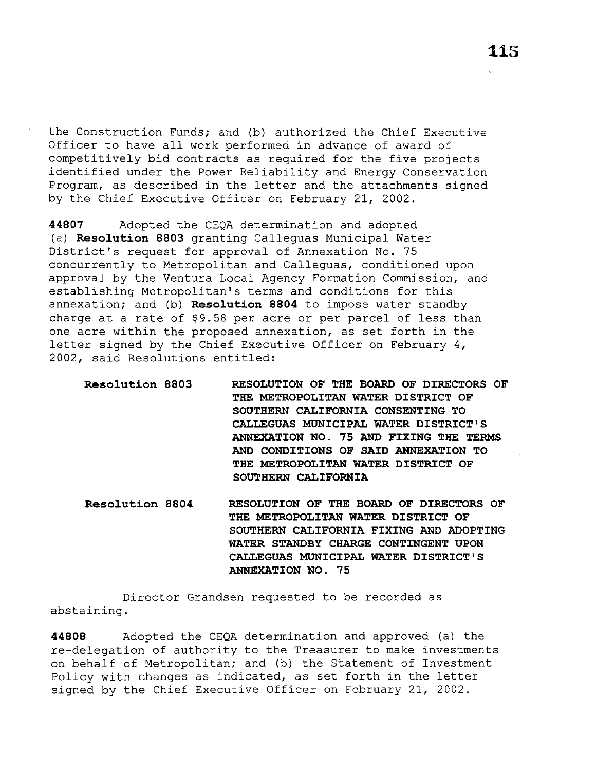the Construction Funds; and (b) authorized the Chief Executive Officer to have all work performed in advance of award of competitively bid contracts as required for the five projects identified under the Power Reliability and Energy Conservation Program, as described in the letter and the attachments signed by the Chief Executive Officer on February 21, 2002.

**44807** Adopted the CEQA determination and adopted (a) **Resolution 8803** granting Calleguas Municipal Water District's request for approval of Annexation No. 75 concurrently to Metropolitan and Calleguas, conditioned upon approval by the Ventura Local Agency Formation Commission, and establishing Metropolitan's terms and conditions for this annexation; and (b) **Resolution 8804** to impose water standby charge at a rate of \$9.58 per acre or per parcel of less than one acre within the proposed annexation, as set forth in the letter signed by the Chief Executive Officer on February 4, 2002, said Resolutions entitled:

| THE METROPOLITAN WATER DISTRICT OF     |
|----------------------------------------|
| SOUTHERN CALIFORNIA CONSENTING TO      |
| CALLEGUAS MUNICIPAL WATER DISTRICT'S   |
| ANNEXATION NO. 75 AND FIXING THE TERMS |
| AND CONDITIONS OF SAID ANNEXATION TO   |
| THE METROPOLITAN WATER DISTRICT OF     |
| SOUTHERN CALIFORNIA                    |

**Resolution 8804 RESOLUTION OF THE BOARD OF DIRECTORS OF THE METROPOLITAN WATER DISTRICT OF SOUTHERN CALIFORNIA FIXING AND ADOPTING WATER STANDBY CHARGE CONTINGENT UPON CALLEGUAS MUNICIPAL WATER DISTRICT'S ANNEXATION NO. 75** 

Director Grandsen requested to be recorded as abstaining.

**44808** Adopted the CEQA determination and approved (a) the re-delegation of authority to the Treasurer to make investments on behalf of Metropolitan; and (b) the Statement of Investment Policy with changes as indicated, as set forth in the letter signed by the Chief Executive Officer on February 21, 2002.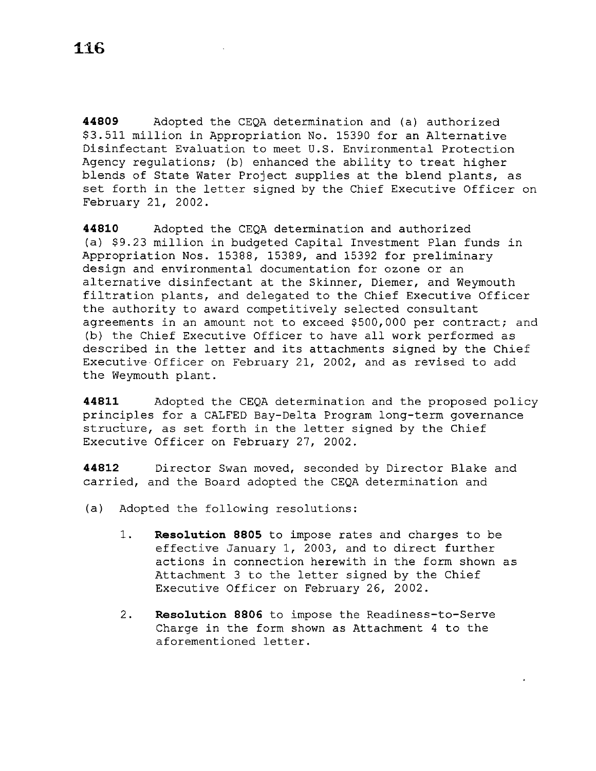**44809** Adopted the CEQA determination and (a) authorized \$3.511 million in Appropriation No. 15390 for an Alternative Disinfectant Evaluation to meet U.S. Environmental Protection Agency regulations; (b) enhanced the ability to treat higher blends of State Water Project supplies at the blend plants, as set forth in the letter signed by the Chief Executive Officer on February 21, 2002.

**44810** Adopted the CEQA determination and authorized (a) \$9.23 million in budgeted Capital Investment Plan funds in Appropriation Nos. 15388, 15389, and 15392 for preliminary design and environmental documentation for ozone or an alternative disinfectant at the Skinner, Diemer, and Weymouth filtration plants, and delegated to the Chief Executive Officer the authority to award competitively selected consultant agreements in an amount not to exceed \$500,000 per contract; and (b) the Chief Executive Officer to have all work performed as described in the letter and its attachments signed by the Chief Executive Officer on February 21, 2002, and as revised to add the Weymouth plant.

**44811** Adopted the CEQA determination and the proposed policy principles for a CALFED Bay-Delta Program long-term governance structure, as set forth in the letter signed by the Chief Executive Officer on February 27, 2002.

**44812** Director Swan moved, seconded by Director Blake and carried, and the Board adopted the CEQA determination and

- (a) Adopted the following resolutions:
	- 1. **Resolution 8805** to impose rates and charges to be effective January 1, 2003, and to direct further actions in connection herewith in the form shown as Attachment 3 to the letter signed by the Chief Executive Officer on February 26, 2002.
	- 2. **Resolution 8806** to impose the Readiness-to-Serve Charge in the form shown as Attachment 4 to the aforementioned letter.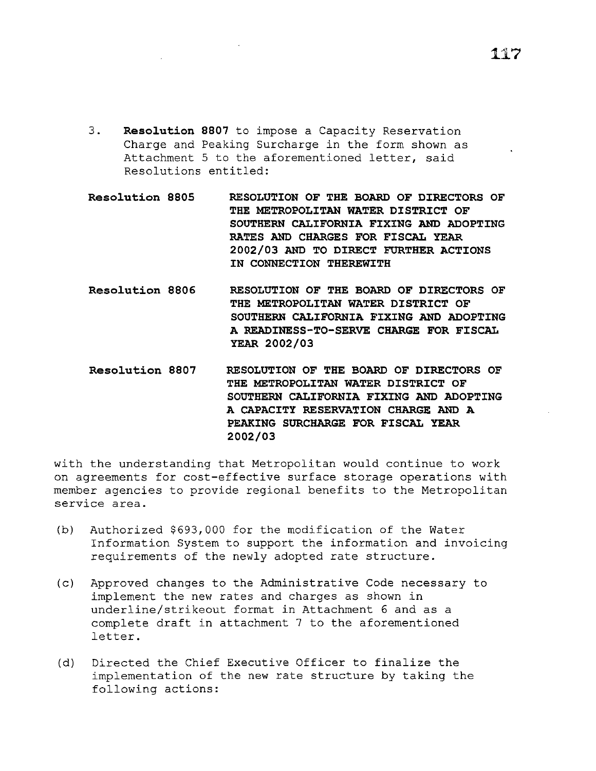- 3. **Resolution 8807** to impose a Capacity Reservation Charge and Peaking Surcharge in the form shown as Attachment 5 to the aforementioned letter, said Resolutions entitled:
- **Resolution 8805 RESOLUTION OF THE BOARD OF DIRECTORS OF THE METROPOLITAN WATER DISTRICT OF SOUTHERN CALIFORNIA FIXING AND ADOPTING RATES AND CHARGES FOR FISCAL YEAR 2002/03 AND TO DIRECT FURTHER ACTIONS IN CONNECTION THEREWITH**
- **Resolution 8806 RESOLUTION OF THE BOARD OF DIRECTORS OF THE METROPOLITAN WATER DISTRICT OF SOUTHERN CALIFORNIA FIXING AND ADOPTING A READINESS-TO-SERVE CHARGE FOR FISCAL YEAR 2002/03**
- **Resolution 8807 RESOLUTION OF THE BOARD OF DIRECTORS OF THE METROPOLITAN WATER DISTRICT OF SOUTHERN CALIFORNIA FIXING AND ADOPTING A CAPACITY RESERVATION CHARGE AND A PEAKING SURCHARGE FOR FISCAL YEAR 2002/03**

with the understanding that Metropolitan would continue to work on agreements for cost-effective surface storage operations with member agencies to provide regional benefits to the Metropolitan service area.

- (b) Authorized \$693,000 for the modification of the Water Information System to support the information and invoicing requirements of the newly adopted rate structure.
- (c) Approved changes to the Administrative Code necessary to implement the new rates and charges as shown in underline/strikeout format in Attachment 6 and as a complete draft in attachment 7 to the aforementioned letter.
- (d) Directed the Chief Executive Officer to finalize the implementation of the new rate structure by taking the following actions: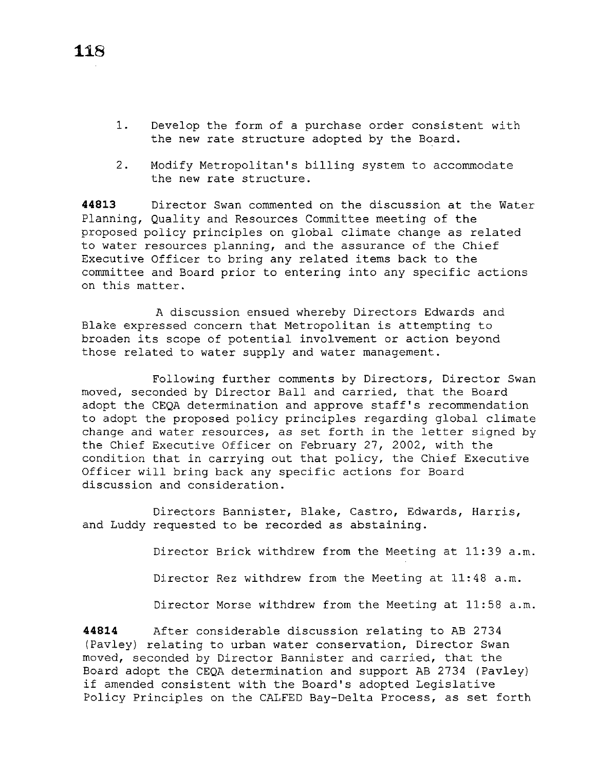- 1. Develop the form of a purchase order consistent with the new rate structure adopted by the Board.
- 2. Modify Metropolitan's billing system to accommodate the new rate structure.

**44813** Director Swan commented on the discussion at the Water Planning, Quality and Resources Committee meeting of the proposed policy principles on global climate change as related to water resources planning, and the assurance of the Chief Executive Officer to bring any related items back to the committee and Board prior to entering into any specific actions on this matter.

A discussion ensued whereby Directors Edwards and Blake expressed concern that Metropolitan is attempting to broaden its scope of potential involvement or action beyond those related to water supply and water management.

Following further comments by Directors, Director Swan moved, seconded by Director Ball and carried, that the Board adopt the CEQA determination and approve staff's recommendation to adopt the proposed policy principles regarding global climate change and water resources, as set forth in the letter signed by the Chief Executive Officer on February 27, 2002, with the condition that in carrying out that policy, the Chief Executive Officer will bring back any specific actions for Board discussion and consideration.

Directors Bannister, Blake, Castro, Edwards, Harris, and Luddy requested to be recorded as abstaining.

Director Brick withdrew from the Meeting at 11:39 a.m.

Director Rez withdrew from the Meeting at 11:48 a.m.

Director Morse withdrew from the Meeting at 11:58 a.m.

**44814** After considerable discussion relating to AB 2734 (Pavley) relating to urban water conservation, Director Swan moved, seconded by Director Bannister and carried, that the Board adopt the CEQA determination and support AB 2734 (Pavley) if amended consistent with the Board's adopted Legislative Policy Principles on the CALFED Bay-Delta Process, as set forth